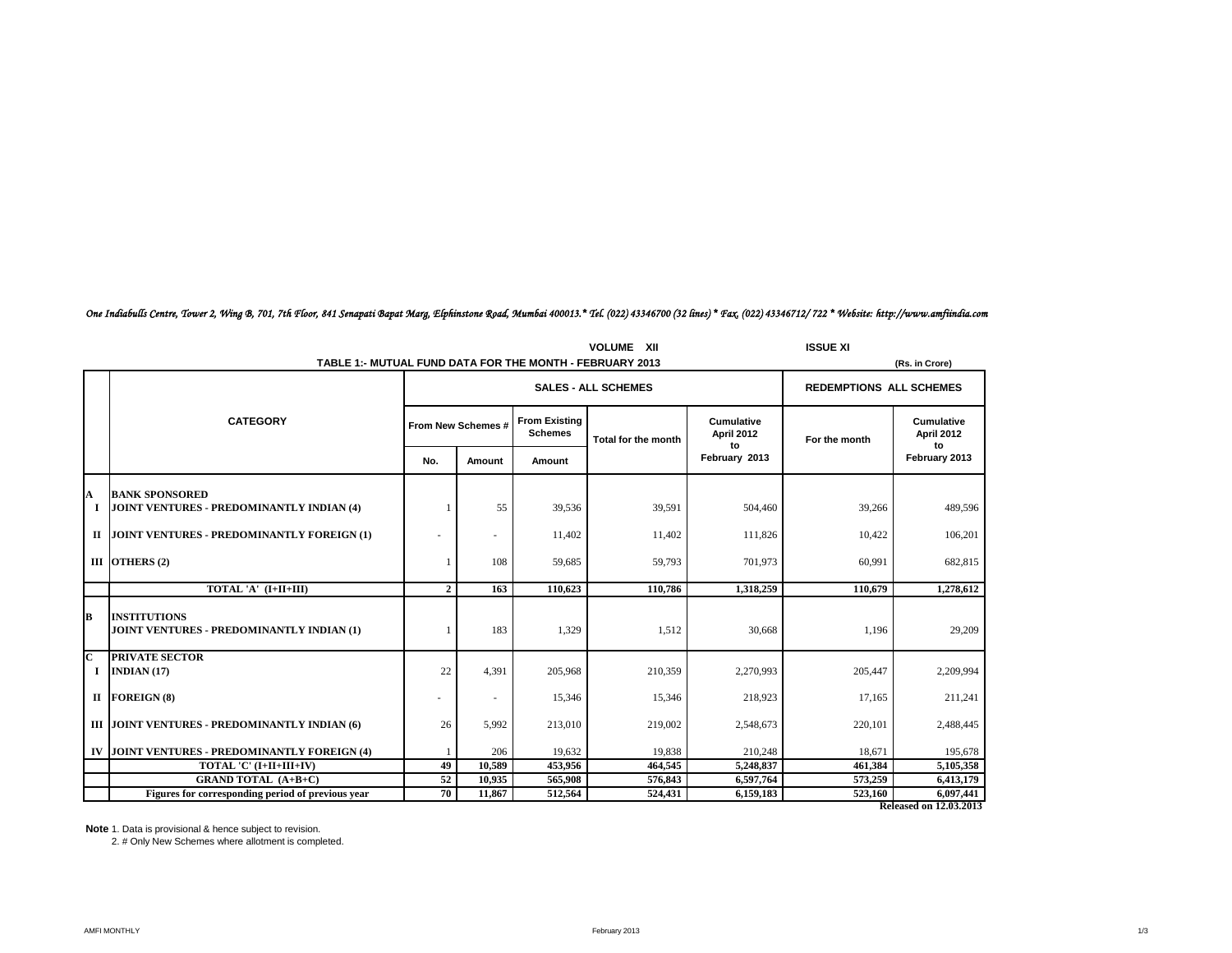| One Indiabulls Centre, Tower 2, Wing B, 701, 7th Floor, 841 Senapati Bapat Marg, Elphinstone Road, Mumbai 400013.* Tel. (022) 43346700 (32 lines) * Fax, (022) 43346712/ 722 * Website: http://www.amfiindia.com |  |  |
|------------------------------------------------------------------------------------------------------------------------------------------------------------------------------------------------------------------|--|--|
|                                                                                                                                                                                                                  |  |  |

|               |                                                                  | <b>ISSUE XI</b> |                    |                                        |                     |                                       |               |                                       |
|---------------|------------------------------------------------------------------|-----------------|--------------------|----------------------------------------|---------------------|---------------------------------------|---------------|---------------------------------------|
|               | TABLE 1:- MUTUAL FUND DATA FOR THE MONTH - FEBRUARY 2013         |                 | (Rs. in Crore)     |                                        |                     |                                       |               |                                       |
|               |                                                                  |                 |                    | <b>SALES - ALL SCHEMES</b>             |                     | <b>REDEMPTIONS ALL SCHEMES</b>        |               |                                       |
|               | <b>CATEGORY</b>                                                  |                 | From New Schemes # | <b>From Existing</b><br><b>Schemes</b> | Total for the month | <b>Cumulative</b><br>April 2012<br>to | For the month | <b>Cumulative</b><br>April 2012<br>to |
|               |                                                                  | No.             | Amount             | Amount                                 |                     | February 2013                         |               | February 2013                         |
|               | <b>BANK SPONSORED</b>                                            |                 |                    |                                        |                     |                                       |               |                                       |
| A<br>$\bf{I}$ | JOINT VENTURES - PREDOMINANTLY INDIAN (4)                        |                 | 55                 | 39,536                                 | 39,591              | 504,460                               | 39,266        | 489,596                               |
| $\Pi$         | JOINT VENTURES - PREDOMINANTLY FOREIGN (1)                       | ÷               | ٠                  | 11,402                                 | 11,402              | 111,826                               | 10,422        | 106,201                               |
|               | III OTHERS (2)                                                   |                 | 108                | 59,685                                 | 59,793              | 701,973                               | 60,991        | 682,815                               |
|               | TOTAL 'A' (I+II+III)                                             | $\overline{2}$  | 163                | 110,623                                | 110,786             | 1,318,259                             | 110,679       | 1,278,612                             |
| B             | <b>INSTITUTIONS</b><br>JOINT VENTURES - PREDOMINANTLY INDIAN (1) |                 | 183                | 1,329                                  | 1,512               | 30,668                                | 1,196         | 29,209                                |
| C<br>Ι.       | <b>PRIVATE SECTOR</b><br>INDIAN $(17)$                           | 22              | 4,391              | 205,968                                | 210,359             | 2,270,993                             | 205,447       | 2,209,994                             |
| $\mathbf{I}$  | <b>FOREIGN(8)</b>                                                | ٠               | ٠                  | 15,346                                 | 15,346              | 218,923                               | 17,165        | 211,241                               |
|               | III JOINT VENTURES - PREDOMINANTLY INDIAN (6)                    | 26              | 5,992              | 213,010                                | 219,002             | 2,548,673                             | 220,101       | 2,488,445                             |
|               | IV JOINT VENTURES - PREDOMINANTLY FOREIGN (4)                    |                 | 206                | 19.632                                 | 19.838              | 210.248                               | 18.671        | 195,678                               |
|               | TOTAL 'C' (I+II+III+IV)                                          | 49              | 10,589             | 453,956                                | 464,545             | 5,248,837                             | 461,384       | 5,105,358                             |
|               | <b>GRAND TOTAL (A+B+C)</b>                                       | 52              | 10,935             | 565,908                                | 576,843             | 6,597,764                             | 573,259       | 6,413,179                             |
|               | Figures for corresponding period of previous year                | 70              | 11,867             | 512,564                                | 524,431             | 6,159,183                             | 523,160       | 6,097,441                             |
|               |                                                                  |                 |                    |                                        |                     |                                       |               | Released on 12.03.2013                |

**Note** 1. Data is provisional & hence subject to revision.

2. # Only New Schemes where allotment is completed.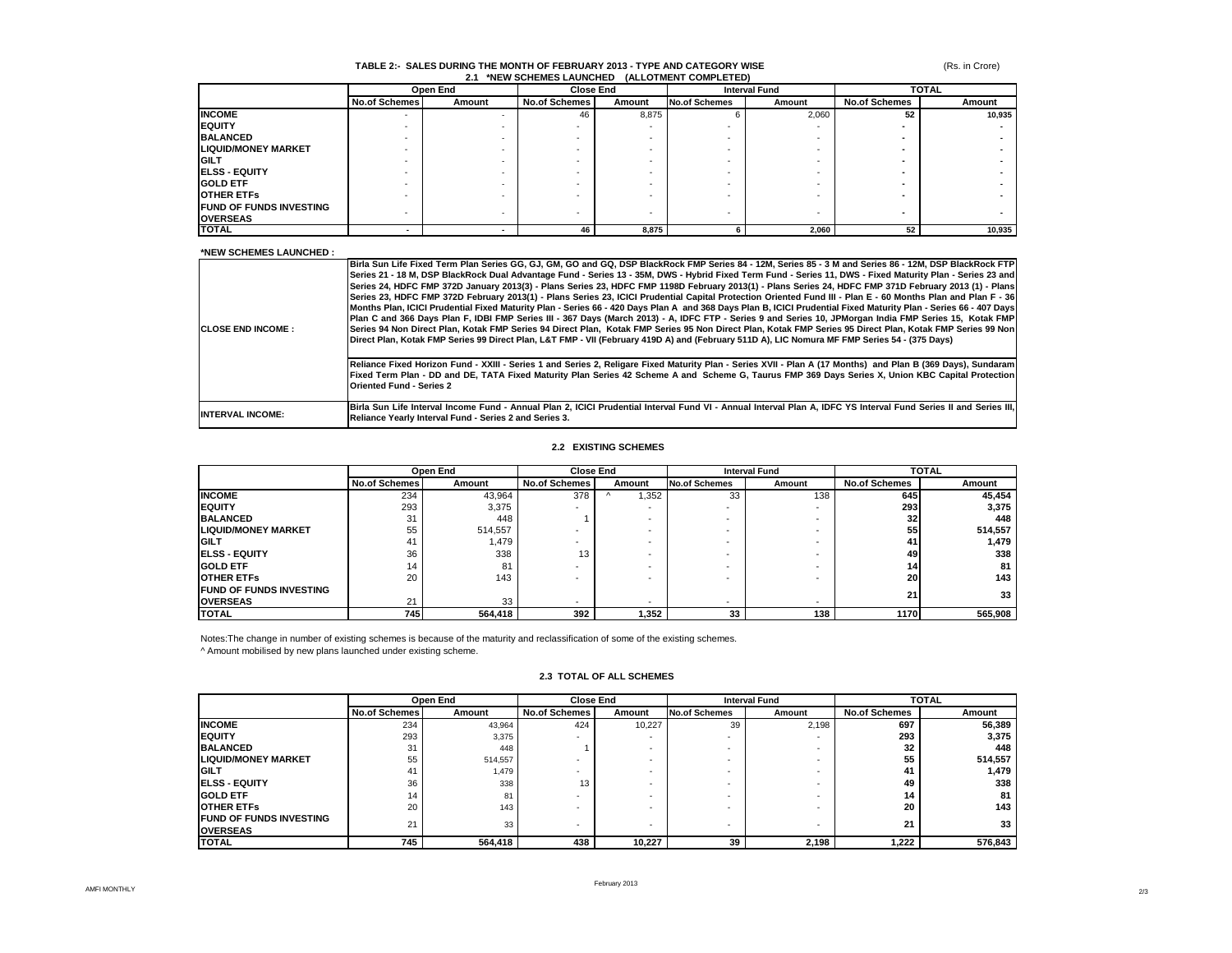#### (Rs. in Crore)

# **TABLE 2:- SALES DURING THE MONTH OF FEBRUARY 2013 - TYPE AND CATEGORY WISE 2.1 \*NEW SCHEMES LAUNCHED (ALLOTMENT COMPLETED)**

|                                | Open End             |        |                      | <b>Close End</b> |                      | <b>Interval Fund</b> |                      | <b>TOTAL</b> |  |
|--------------------------------|----------------------|--------|----------------------|------------------|----------------------|----------------------|----------------------|--------------|--|
|                                | <b>No.of Schemes</b> | Amount | <b>No.of Schemes</b> | Amount           | <b>No.of Schemes</b> | Amount               | <b>No.of Schemes</b> | Amount       |  |
| <b>INCOME</b>                  |                      |        | 46                   | 8,875            |                      | 2,060                | 52                   | 10.935       |  |
| <b>IEQUITY</b>                 |                      |        |                      |                  |                      |                      |                      |              |  |
| <b>BALANCED</b>                |                      |        |                      |                  |                      |                      |                      |              |  |
| <b>LIQUID/MONEY MARKET</b>     |                      |        |                      |                  |                      |                      |                      |              |  |
| <b>IGILT</b>                   |                      |        |                      |                  |                      |                      |                      |              |  |
| <b>IELSS - EQUITY</b>          |                      |        |                      |                  |                      |                      |                      |              |  |
| <b>IGOLD ETF</b>               |                      |        |                      |                  |                      |                      |                      |              |  |
| <b>OTHER ETFS</b>              |                      |        |                      |                  |                      |                      |                      |              |  |
| <b>FUND OF FUNDS INVESTING</b> |                      |        |                      |                  |                      |                      |                      |              |  |
| <b>OVERSEAS</b>                |                      |        |                      |                  | -                    |                      |                      |              |  |
| <b>TOTAL</b>                   |                      |        | 46                   | 8,875            |                      | 2,060                | 52                   | 10,935       |  |

#### **\*NEW SCHEMES LAUNCHED :**

| <b>CLOSE END INCOME :</b> | Birla Sun Life Fixed Term Plan Series GG. GJ. GM. GO and GQ. DSP BlackRock FMP Series 84 - 12M. Series 85 - 3 M and Series 86 - 12M. DSP BlackRock FTPI<br>Series 21 - 18 M, DSP BlackRock Dual Advantage Fund - Series 13 - 35M, DWS - Hybrid Fixed Term Fund - Series 11, DWS - Fixed Maturity Plan - Series 23 and<br>Series 24. HDFC FMP 372D January 2013(3) - Plans Series 23. HDFC FMP 1198D February 2013(1) - Plans Series 24. HDFC FMP 371D February 2013 (1) - Plans<br>Series 23. HDFC FMP 372D February 2013(1) - Plans Series 23. ICICI Prudential Capital Protection Oriented Fund III - Plan E - 60 Months Plan and Plan F - 36<br>Months Plan, ICICI Prudential Fixed Maturity Plan - Series 66 - 420 Davs Plan A and 368 Davs Plan B. ICICI Prudential Fixed Maturity Plan - Series 66 - 407 Davs<br>Plan C and 366 Days Plan F, IDBI FMP Series III - 367 Days (March 2013) - A, IDFC FTP - Series 9 and Series 10, JPMorgan India FMP Series 15, Kotak FMP<br>Series 94 Non Direct Plan. Kotak FMP Series 94 Direct Plan. Kotak FMP Series 95 Non Direct Plan. Kotak FMP Series 95 Direct Plan. Kotak FMP Series 99 Noni<br>Direct Plan. Kotak FMP Series 99 Direct Plan. L&T FMP - VII (February 419D A) and (February 511D A). LIC Nomura MF FMP Series 54 - (375 Days)<br>Reliance Fixed Horizon Fund - XXIII - Series 1 and Series 2, Religare Fixed Maturity Plan - Series XVII - Plan A (17 Months) and Plan B (369 Days), Sundaram<br>Fixed Term Plan - DD and DE. TATA Fixed Maturity Plan Series 42 Scheme A and Scheme G. Taurus FMP 369 Davs Series X. Union KBC Capital Protection<br><b>Oriented Fund - Series 2</b> |
|---------------------------|-------------------------------------------------------------------------------------------------------------------------------------------------------------------------------------------------------------------------------------------------------------------------------------------------------------------------------------------------------------------------------------------------------------------------------------------------------------------------------------------------------------------------------------------------------------------------------------------------------------------------------------------------------------------------------------------------------------------------------------------------------------------------------------------------------------------------------------------------------------------------------------------------------------------------------------------------------------------------------------------------------------------------------------------------------------------------------------------------------------------------------------------------------------------------------------------------------------------------------------------------------------------------------------------------------------------------------------------------------------------------------------------------------------------------------------------------------------------------------------------------------------------------------------------------------------------------------------------------------------------------------------------------------|
| <b>INTERVAL INCOME:</b>   | Birla Sun Life Interval Income Fund - Annual Plan 2. ICICI Prudential Interval Fund VI - Annual Interval Plan A. IDFC YS Interval Fund Series II and Series III.<br>Reliance Yearly Interval Fund - Series 2 and Series 3.                                                                                                                                                                                                                                                                                                                                                                                                                                                                                                                                                                                                                                                                                                                                                                                                                                                                                                                                                                                                                                                                                                                                                                                                                                                                                                                                                                                                                            |

#### **2.2 EXISTING SCHEMES**

|                                 | Open End             |         |                      | <b>Close End</b> |                          | <b>Interval Fund</b> |                      | <b>TOTAL</b> |  |
|---------------------------------|----------------------|---------|----------------------|------------------|--------------------------|----------------------|----------------------|--------------|--|
|                                 | <b>No.of Schemes</b> | Amount  | <b>No.of Schemes</b> | Amount           | <b>No.of Schemes</b>     | Amount               | <b>No.of Schemes</b> | Amount       |  |
| <b>INCOME</b>                   | 234                  | 43,964  | 378                  | .352             | 33                       | 138                  | 645                  | 45,454       |  |
| <b>EQUITY</b>                   | 293                  | 3,375   | -                    |                  | $\overline{\phantom{0}}$ |                      | 293                  | 3,375        |  |
| <b>BALANCED</b>                 | 31                   | 448     |                      |                  |                          |                      | 32                   | 448          |  |
| <b>ILIQUID/MONEY MARKET</b>     | 55                   | 514,557 |                      |                  |                          |                      | 55                   | 514,557      |  |
| <b>IGILT</b>                    | 41                   | 1,479   |                      |                  |                          |                      | 41                   | 1,479        |  |
| <b>IELSS - EQUITY</b>           | 36                   | 338     | 13                   |                  |                          |                      | 49                   | 338          |  |
| <b>GOLD ETF</b>                 | 14                   | 81      |                      |                  | $\overline{\phantom{0}}$ |                      | 14                   | 81           |  |
| <b>OTHER ETFS</b>               | 20                   | 143     |                      |                  |                          |                      | 20                   | 143          |  |
| <b>IFUND OF FUNDS INVESTING</b> |                      |         |                      |                  |                          |                      | 21                   | 33           |  |
| <b>OVERSEAS</b>                 | 24                   | 33      | -                    |                  | $\overline{\phantom{0}}$ |                      |                      |              |  |
| <b>TOTAL</b>                    | 745 l                | 564,418 | 392                  | 1,352            | 33                       | 138                  | 1170                 | 565,908      |  |

Notes:The change in number of existing schemes is because of the maturity and reclassification of some of the existing schemes.

^ Amount mobilised by new plans launched under existing scheme.

|                                                   | Open End             |         |                      | <b>Close End</b> |                      | <b>Interval Fund</b>     |                      | <b>TOTAL</b> |  |
|---------------------------------------------------|----------------------|---------|----------------------|------------------|----------------------|--------------------------|----------------------|--------------|--|
|                                                   | <b>No.of Schemes</b> | Amount  | <b>No.of Schemes</b> | Amount           | <b>No.of Schemes</b> | Amount                   | <b>No.of Schemes</b> | Amount       |  |
| <b>INCOME</b>                                     | 234                  | 43.964  | 424                  | 10,227           | 39                   | 2.198                    | 697                  | 56,389       |  |
| <b>EQUITY</b>                                     | 293                  | 3.375   |                      |                  |                      |                          | 293                  | 3,375        |  |
| <b>BALANCED</b>                                   | 31                   | 448     |                      |                  |                      |                          | 32                   | 448          |  |
| <b>LIQUID/MONEY MARKET</b>                        | 55                   | 514.557 |                      |                  |                      |                          | 55                   | 514,557      |  |
| <b>GILT</b>                                       | 41                   | 1.479   |                      |                  |                      |                          | 41                   | 1.479        |  |
| <b>ELSS - EQUITY</b>                              | 36                   | 338     | 13                   |                  |                      | $\overline{\phantom{a}}$ | 49                   | 338          |  |
| <b>GOLD ETF</b>                                   | 14                   | 81      |                      |                  |                      | $\overline{\phantom{a}}$ | 14                   | 81           |  |
| <b>OTHER ETFS</b>                                 | 20                   | 143     |                      |                  |                      |                          | 20                   | 143          |  |
| <b>FUND OF FUNDS INVESTING</b><br><b>OVERSEAS</b> | 21                   | 33      |                      |                  |                      |                          | 21                   | 33           |  |
| <b>TOTAL</b>                                      | 745                  | 564.418 | 438                  | 10.227           | 39                   | 2.198                    | 1.222                | 576,843      |  |

#### **2.3 TOTAL OF ALL SCHEMES**